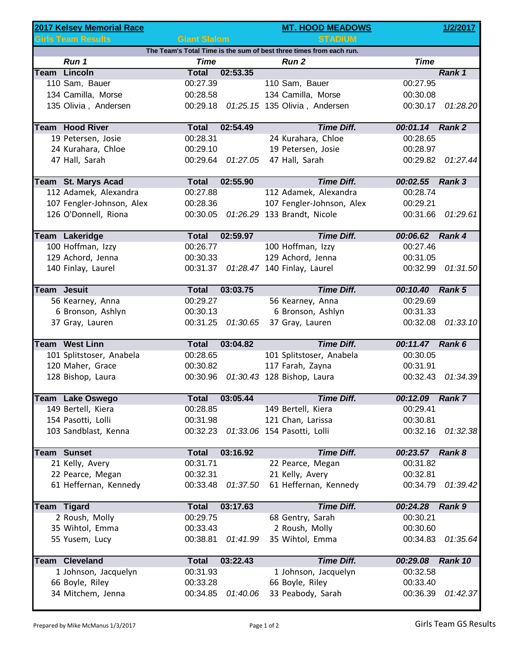|                                                                     | 2017 Kelsey Memorial Race |                     |          | <b>MT. HOOD MEADOWS</b>                   |                 | 1/2/2017 |  |  |  |  |  |
|---------------------------------------------------------------------|---------------------------|---------------------|----------|-------------------------------------------|-----------------|----------|--|--|--|--|--|
|                                                                     | <b>Girls Team Results</b> | <b>Giant Slalom</b> |          | <b>STADIUM</b>                            |                 |          |  |  |  |  |  |
| The Team's Total Time is the sum of best three times from each run. |                           |                     |          |                                           |                 |          |  |  |  |  |  |
|                                                                     | Run 1                     | <b>Time</b>         |          | <b>Run 2</b>                              | <b>Time</b>     |          |  |  |  |  |  |
|                                                                     | <b>Team Lincoln</b>       | <b>Total</b>        | 02:53.35 |                                           |                 | Rank 1   |  |  |  |  |  |
|                                                                     | 110 Sam, Bauer            | 00:27.39            |          | 110 Sam, Bauer                            | 00:27.95        |          |  |  |  |  |  |
|                                                                     | 134 Camilla, Morse        | 00:28.58            |          | 134 Camilla, Morse                        | 00:30.08        |          |  |  |  |  |  |
|                                                                     | 135 Olivia, Andersen      |                     |          | 00:29.18  01:25.15  135  Olivia, Andersen | 00:30.17        | 01:28.20 |  |  |  |  |  |
|                                                                     | <b>Team Hood River</b>    | <b>Total</b>        | 02:54.49 | <b>Time Diff.</b>                         | 00:01.14 Rank 2 |          |  |  |  |  |  |
|                                                                     | 19 Petersen, Josie        | 00:28.31            |          | 24 Kurahara, Chloe                        | 00:28.65        |          |  |  |  |  |  |
|                                                                     | 24 Kurahara, Chloe        | 00:29.10            |          | 19 Petersen, Josie                        | 00:28.97        |          |  |  |  |  |  |
|                                                                     | 47 Hall, Sarah            | 00:29.64            | 01:27.05 | 47 Hall, Sarah                            | 00:29.82        | 01:27.44 |  |  |  |  |  |
|                                                                     | Team St. Marys Acad       | <b>Total</b>        | 02:55.90 | <b>Time Diff.</b>                         | 00:02.55 Rank 3 |          |  |  |  |  |  |
|                                                                     | 112 Adamek, Alexandra     | 00:27.88            |          | 112 Adamek, Alexandra                     | 00:28.74        |          |  |  |  |  |  |
|                                                                     | 107 Fengler-Johnson, Alex | 00:28.36            |          | 107 Fengler-Johnson, Alex                 | 00:29.21        |          |  |  |  |  |  |
|                                                                     | 126 O'Donnell, Riona      | 00:30.05            |          | 01:26.29 133 Brandt, Nicole               | 00:31.66        | 01:29.61 |  |  |  |  |  |
|                                                                     | Team Lakeridge            | <b>Total</b>        | 02:59.97 | <b>Time Diff.</b>                         | 00:06.62        | Rank 4   |  |  |  |  |  |
|                                                                     | 100 Hoffman, Izzy         | 00:26.77            |          | 100 Hoffman, Izzy                         | 00:27.46        |          |  |  |  |  |  |
|                                                                     | 129 Achord, Jenna         | 00:30.33            |          | 129 Achord, Jenna                         | 00:31.05        |          |  |  |  |  |  |
|                                                                     | 140 Finlay, Laurel        |                     |          | 00:31.37 01:28.47 140 Finlay, Laurel      | 00:32.99        | 01:31.50 |  |  |  |  |  |
|                                                                     |                           |                     |          |                                           |                 |          |  |  |  |  |  |
| <b>Team Jesuit</b>                                                  |                           | <b>Total</b>        | 03:03.75 | <b>Time Diff.</b>                         | 00:10.40        | Rank 5   |  |  |  |  |  |
|                                                                     | 56 Kearney, Anna          | 00:29.27            |          | 56 Kearney, Anna                          | 00:29.69        |          |  |  |  |  |  |
|                                                                     | 6 Bronson, Ashlyn         | 00:30.13            |          | 6 Bronson, Ashlyn                         | 00:31.33        |          |  |  |  |  |  |
|                                                                     | 37 Gray, Lauren           | 00:31.25            | 01:30.65 | 37 Gray, Lauren                           | 00:32.08        | 01:33.10 |  |  |  |  |  |
|                                                                     | <b>Team West Linn</b>     | <b>Total</b>        | 03:04.82 | <b>Time Diff.</b>                         | 00:11.47 Rank 6 |          |  |  |  |  |  |
|                                                                     | 101 Splitstoser, Anabela  | 00:28.65            |          | 101 Splitstoser, Anabela                  | 00:30.05        |          |  |  |  |  |  |
|                                                                     | 120 Maher, Grace          | 00:30.82            |          | 117 Farah, Zayna                          | 00:31.91        |          |  |  |  |  |  |
|                                                                     | 128 Bishop, Laura         | 00:30.96            |          | 01:30.43 128 Bishop, Laura                | 00:32.43        | 01:34.39 |  |  |  |  |  |
|                                                                     | Team Lake Oswego          | <b>Total</b>        | 03:05.44 | <b>Time Diff.</b>                         | 00:12.09        | Rank 7   |  |  |  |  |  |
|                                                                     | 149 Bertell, Kiera        | 00:28.85            |          | 149 Bertell, Kiera                        | 00:29.41        |          |  |  |  |  |  |
|                                                                     | 154 Pasotti, Lolli        | 00:31.98            |          | 121 Chan, Larissa                         | 00:30.81        |          |  |  |  |  |  |
|                                                                     | 103 Sandblast, Kenna      | 00:32.23            |          | 01:33.06 154 Pasotti, Lolli               | 00:32.16        | 01:32.38 |  |  |  |  |  |
|                                                                     |                           |                     |          |                                           |                 |          |  |  |  |  |  |
|                                                                     | <b>Team Sunset</b>        | <b>Total</b>        | 03:16.92 | <b>Time Diff.</b>                         | 00:23.57 Rank 8 |          |  |  |  |  |  |
|                                                                     | 21 Kelly, Avery           | 00:31.71            |          | 22 Pearce, Megan                          | 00:31.82        |          |  |  |  |  |  |
|                                                                     | 22 Pearce, Megan          | 00:32.31            |          | 21 Kelly, Avery                           | 00:32.81        |          |  |  |  |  |  |
|                                                                     | 61 Heffernan, Kennedy     | 00:33.48            | 01:37.50 | 61 Heffernan, Kennedy                     | 00:34.79        | 01:39.42 |  |  |  |  |  |
|                                                                     | <b>Team Tigard</b>        | <b>Total</b>        | 03:17.63 | <b>Time Diff.</b>                         | 00:24.28        | Rank 9   |  |  |  |  |  |
|                                                                     | 2 Roush, Molly            | 00:29.75            |          | 68 Gentry, Sarah                          | 00:30.21        |          |  |  |  |  |  |
|                                                                     | 35 Wihtol, Emma           | 00:33.43            |          | 2 Roush, Molly                            | 00:30.60        |          |  |  |  |  |  |
|                                                                     | 55 Yusem, Lucy            | 00:38.81            | 01:41.99 | 35 Wihtol, Emma                           | 00:34.83        | 01:35.64 |  |  |  |  |  |
|                                                                     | <b>Team Cleveland</b>     | <b>Total</b>        | 03:22.43 | <b>Time Diff.</b>                         | 00:29.08        | Rank 10  |  |  |  |  |  |
|                                                                     | 1 Johnson, Jacquelyn      | 00:31.93            |          | 1 Johnson, Jacquelyn                      | 00:32.58        |          |  |  |  |  |  |
|                                                                     | 66 Boyle, Riley           | 00:33.28            |          | 66 Boyle, Riley                           | 00:33.40        |          |  |  |  |  |  |
|                                                                     | 34 Mitchem, Jenna         | 00:34.85            | 01:40.06 | 33 Peabody, Sarah                         | 00:36.39        | 01:42.37 |  |  |  |  |  |
|                                                                     |                           |                     |          |                                           |                 |          |  |  |  |  |  |